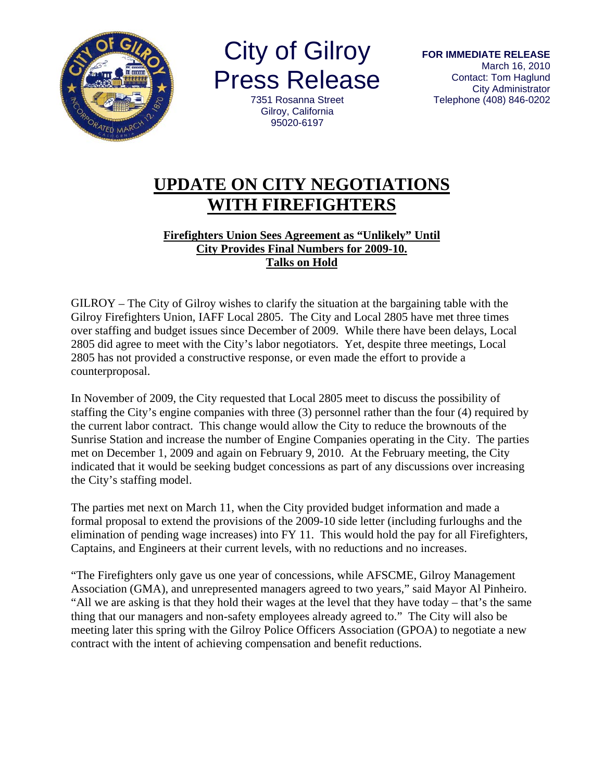

**City of Gilroy Press Release** 

7351 Rosanna Street Gilrov, California 95020-6197

## **UPDATE ON CITY NEGOTIATIONS WITH FIREFIGHTERS**

## **Firefighters Union Sees Agreement as "Unlikely" Until City Provides Final Numbers for 2009-10. Talks on Hold**

GILROY – The City of Gilroy wishes to clarify the situation at the bargaining table with the Gilroy Firefighters Union, IAFF Local 2805. The City and Local 2805 have met three times over staffing and budget issues since December of 2009. While there have been delays, Local 2805 did agree to meet with the City's labor negotiators. Yet, despite three meetings, Local 2805 has not provided a constructive response, or even made the effort to provide a counterproposal.

In November of 2009, the City requested that Local 2805 meet to discuss the possibility of staffing the City's engine companies with three (3) personnel rather than the four (4) required by the current labor contract. This change would allow the City to reduce the brownouts of the Sunrise Station and increase the number of Engine Companies operating in the City. The parties met on December 1, 2009 and again on February 9, 2010. At the February meeting, the City indicated that it would be seeking budget concessions as part of any discussions over increasing the City's staffing model.

The parties met next on March 11, when the City provided budget information and made a formal proposal to extend the provisions of the 2009-10 side letter (including furloughs and the elimination of pending wage increases) into FY 11. This would hold the pay for all Firefighters, Captains, and Engineers at their current levels, with no reductions and no increases.

"The Firefighters only gave us one year of concessions, while AFSCME, Gilroy Management Association (GMA), and unrepresented managers agreed to two years," said Mayor Al Pinheiro. "All we are asking is that they hold their wages at the level that they have today – that's the same thing that our managers and non-safety employees already agreed to." The City will also be meeting later this spring with the Gilroy Police Officers Association (GPOA) to negotiate a new contract with the intent of achieving compensation and benefit reductions.